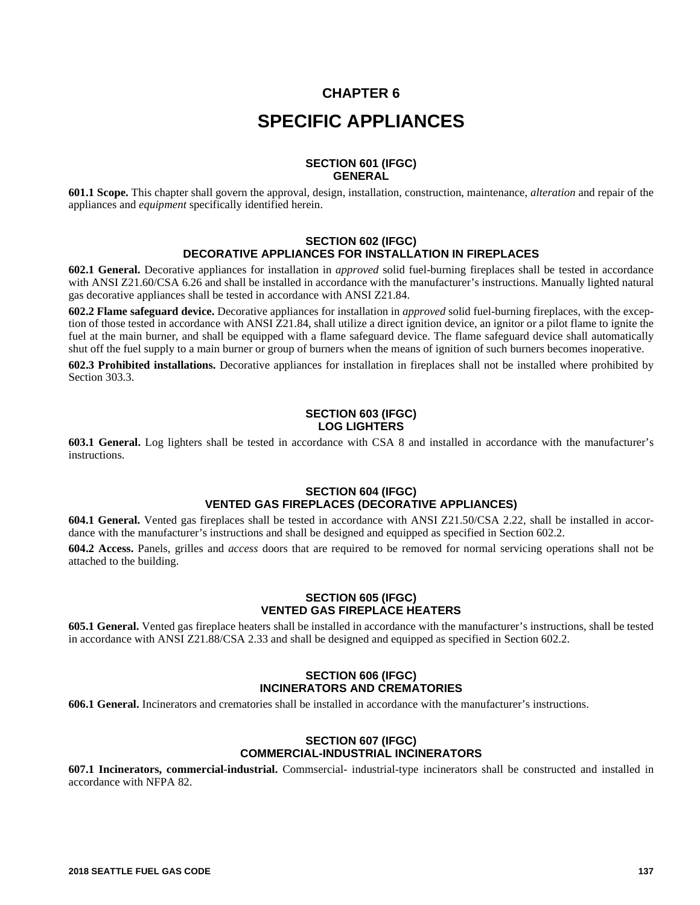# **CHAPTER 6 SPECIFIC APPLIANCES**

## **SECTION 601 (IFGC) GENERAL**

**601.1 Scope.** This chapter shall govern the approval, design, installation, construction, maintenance, *alteration* and repair of the appliances and *equipment* specifically identified herein.

## **SECTION 602 (IFGC) DECORATIVE APPLIANCES FOR INSTALLATION IN FIREPLACES**

**602.1 General.** Decorative appliances for installation in *approved* solid fuel-burning fireplaces shall be tested in accordance with ANSI Z21.60/CSA 6.26 and shall be installed in accordance with the manufacturer's instructions. Manually lighted natural gas decorative appliances shall be tested in accordance with ANSI Z21.84.

**602.2 Flame safeguard device.** Decorative appliances for installation in *approved* solid fuel-burning fireplaces, with the exception of those tested in accordance with ANSI Z21.84, shall utilize a direct ignition device, an ignitor or a pilot flame to ignite the fuel at the main burner, and shall be equipped with a flame safeguard device. The flame safeguard device shall automatically shut off the fuel supply to a main burner or group of burners when the means of ignition of such burners becomes inoperative.

**602.3 Prohibited installations.** Decorative appliances for installation in fireplaces shall not be installed where prohibited by Section 303.3.

#### **SECTION 603 (IFGC) LOG LIGHTERS**

**603.1 General.** Log lighters shall be tested in accordance with CSA 8 and installed in accordance with the manufacturer's instructions.

## **SECTION 604 (IFGC) VENTED GAS FIREPLACES (DECORATIVE APPLIANCES)**

**604.1 General.** Vented gas fireplaces shall be tested in accordance with ANSI Z21.50/CSA 2.22, shall be installed in accordance with the manufacturer's instructions and shall be designed and equipped as specified in Section 602.2.

**604.2 Access.** Panels, grilles and *access* doors that are required to be removed for normal servicing operations shall not be attached to the building.

## **SECTION 605 (IFGC) VENTED GAS FIREPLACE HEATERS**

**605.1 General.** Vented gas fireplace heaters shall be installed in accordance with the manufacturer's instructions, shall be tested in accordance with ANSI Z21.88/CSA 2.33 and shall be designed and equipped as specified in Section 602.2.

## **SECTION 606 (IFGC) INCINERATORS AND CREMATORIES**

**606.1 General.** Incinerators and crematories shall be installed in accordance with the manufacturer's instructions.

## **SECTION 607 (IFGC) COMMERCIAL-INDUSTRIAL INCINERATORS**

**607.1 Incinerators, commercial-industrial.** Commsercial- industrial-type incinerators shall be constructed and installed in accordance with NFPA 82.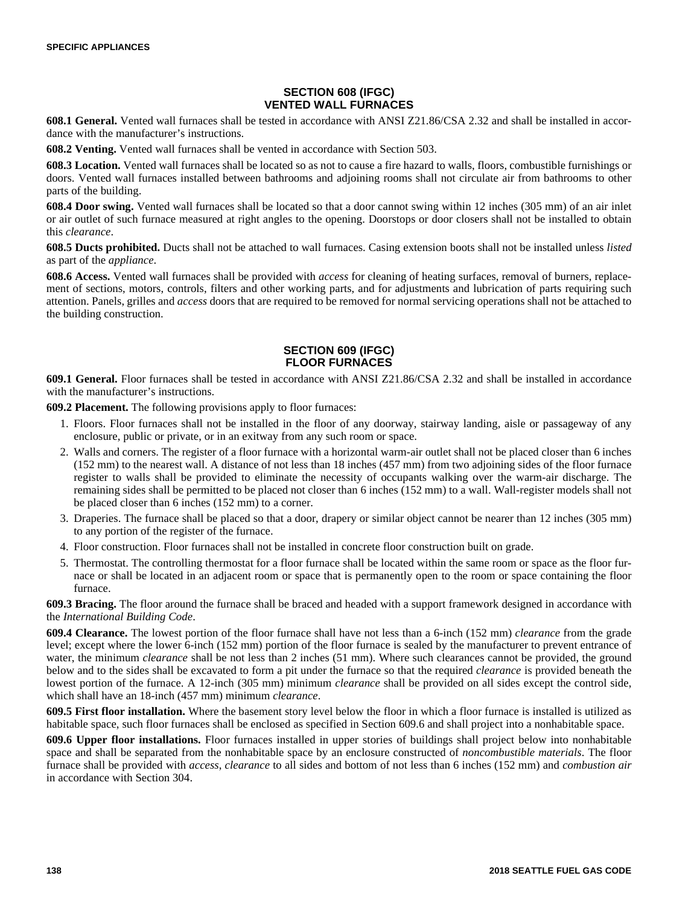## **SECTION 608 (IFGC) VENTED WALL FURNACES**

**608.1 General.** Vented wall furnaces shall be tested in accordance with ANSI Z21.86/CSA 2.32 and shall be installed in accordance with the manufacturer's instructions.

**608.2 Venting.** Vented wall furnaces shall be vented in accordance with Section 503.

**608.3 Location.** Vented wall furnaces shall be located so as not to cause a fire hazard to walls, floors, combustible furnishings or doors. Vented wall furnaces installed between bathrooms and adjoining rooms shall not circulate air from bathrooms to other parts of the building.

**608.4 Door swing.** Vented wall furnaces shall be located so that a door cannot swing within 12 inches (305 mm) of an air inlet or air outlet of such furnace measured at right angles to the opening. Doorstops or door closers shall not be installed to obtain this *clearance*.

**608.5 Ducts prohibited.** Ducts shall not be attached to wall furnaces. Casing extension boots shall not be installed unless *listed* as part of the *appliance*.

**608.6 Access.** Vented wall furnaces shall be provided with *access* for cleaning of heating surfaces, removal of burners, replacement of sections, motors, controls, filters and other working parts, and for adjustments and lubrication of parts requiring such attention. Panels, grilles and *access* doors that are required to be removed for normal servicing operations shall not be attached to the building construction.

## **SECTION 609 (IFGC) FLOOR FURNACES**

**609.1 General.** Floor furnaces shall be tested in accordance with ANSI Z21.86/CSA 2.32 and shall be installed in accordance with the manufacturer's instructions.

**609.2 Placement.** The following provisions apply to floor furnaces:

- 1. Floors. Floor furnaces shall not be installed in the floor of any doorway, stairway landing, aisle or passageway of any enclosure, public or private, or in an exitway from any such room or space.
- 2. Walls and corners. The register of a floor furnace with a horizontal warm-air outlet shall not be placed closer than 6 inches (152 mm) to the nearest wall. A distance of not less than 18 inches (457 mm) from two adjoining sides of the floor furnace register to walls shall be provided to eliminate the necessity of occupants walking over the warm-air discharge. The remaining sides shall be permitted to be placed not closer than 6 inches (152 mm) to a wall. Wall-register models shall not be placed closer than 6 inches (152 mm) to a corner.
- 3. Draperies. The furnace shall be placed so that a door, drapery or similar object cannot be nearer than 12 inches (305 mm) to any portion of the register of the furnace.
- 4. Floor construction. Floor furnaces shall not be installed in concrete floor construction built on grade.
- 5. Thermostat. The controlling thermostat for a floor furnace shall be located within the same room or space as the floor furnace or shall be located in an adjacent room or space that is permanently open to the room or space containing the floor furnace.

**609.3 Bracing.** The floor around the furnace shall be braced and headed with a support framework designed in accordance with the *International Building Code*.

**609.4 Clearance.** The lowest portion of the floor furnace shall have not less than a 6-inch (152 mm) *clearance* from the grade level; except where the lower 6-inch (152 mm) portion of the floor furnace is sealed by the manufacturer to prevent entrance of water, the minimum *clearance* shall be not less than 2 inches (51 mm). Where such clearances cannot be provided, the ground below and to the sides shall be excavated to form a pit under the furnace so that the required *clearance* is provided beneath the lowest portion of the furnace. A 12-inch (305 mm) minimum *clearance* shall be provided on all sides except the control side, which shall have an 18-inch (457 mm) minimum *clearance*.

**609.5 First floor installation.** Where the basement story level below the floor in which a floor furnace is installed is utilized as habitable space, such floor furnaces shall be enclosed as specified in Section 609.6 and shall project into a nonhabitable space.

**609.6 Upper floor installations.** Floor furnaces installed in upper stories of buildings shall project below into nonhabitable space and shall be separated from the nonhabitable space by an enclosure constructed of *noncombustible materials*. The floor furnace shall be provided with *access*, *clearance* to all sides and bottom of not less than 6 inches (152 mm) and *combustion air* in accordance with Section 304.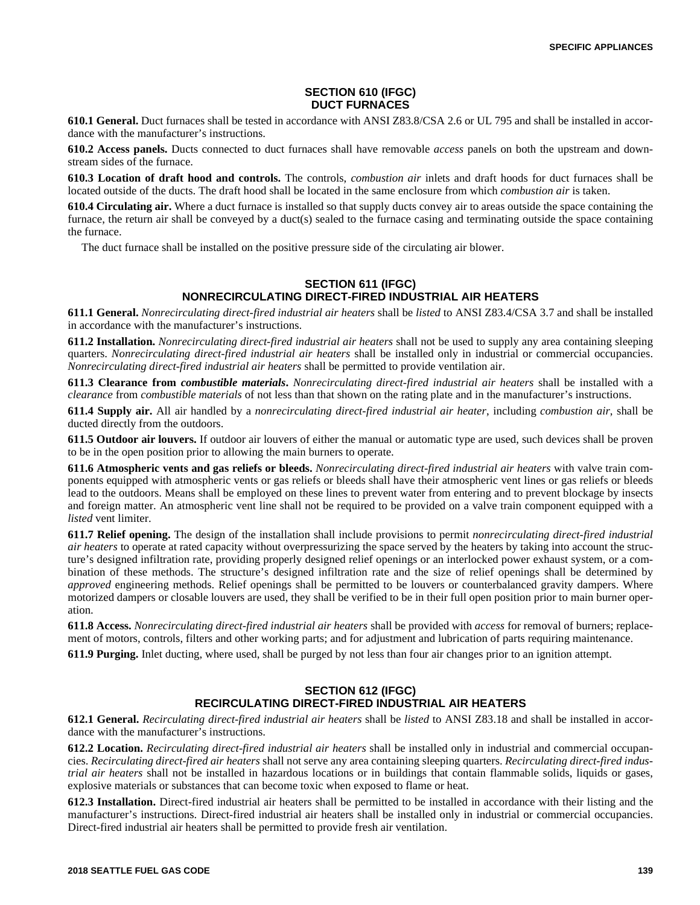#### **SECTION 610 (IFGC) DUCT FURNACES**

**610.1 General.** Duct furnaces shall be tested in accordance with ANSI Z83.8/CSA 2.6 or UL 795 and shall be installed in accordance with the manufacturer's instructions.

**610.2 Access panels.** Ducts connected to duct furnaces shall have removable *access* panels on both the upstream and downstream sides of the furnace.

**610.3 Location of draft hood and controls.** The controls, *combustion air* inlets and draft hoods for duct furnaces shall be located outside of the ducts. The draft hood shall be located in the same enclosure from which *combustion air* is taken.

**610.4 Circulating air.** Where a duct furnace is installed so that supply ducts convey air to areas outside the space containing the furnace, the return air shall be conveyed by a duct(s) sealed to the furnace casing and terminating outside the space containing the furnace.

The duct furnace shall be installed on the positive pressure side of the circulating air blower.

## **SECTION 611 (IFGC) NONRECIRCULATING DIRECT-FIRED INDUSTRIAL AIR HEATERS**

**611.1 General.** *Nonrecirculating direct-fired industrial air heaters* shall be *listed* to ANSI Z83.4/CSA 3.7 and shall be installed in accordance with the manufacturer's instructions.

**611.2 Installation.** *Nonrecirculating direct-fired industrial air heaters* shall not be used to supply any area containing sleeping quarters. *Nonrecirculating direct-fired industrial air heaters* shall be installed only in industrial or commercial occupancies. *Nonrecirculating direct-fired industrial air heaters* shall be permitted to provide ventilation air.

**611.3 Clearance from** *combustible materials***.** *Nonrecirculating direct-fired industrial air heaters* shall be installed with a *clearance* from *combustible materials* of not less than that shown on the rating plate and in the manufacturer's instructions.

**611.4 Supply air.** All air handled by a *nonrecirculating direct-fired industrial air heater*, including *combustion air*, shall be ducted directly from the outdoors.

**611.5 Outdoor air louvers.** If outdoor air louvers of either the manual or automatic type are used, such devices shall be proven to be in the open position prior to allowing the main burners to operate.

**611.6 Atmospheric vents and gas reliefs or bleeds.** *Nonrecirculating direct-fired industrial air heaters* with valve train components equipped with atmospheric vents or gas reliefs or bleeds shall have their atmospheric vent lines or gas reliefs or bleeds lead to the outdoors. Means shall be employed on these lines to prevent water from entering and to prevent blockage by insects and foreign matter. An atmospheric vent line shall not be required to be provided on a valve train component equipped with a *listed* vent limiter.

**611.7 Relief opening.** The design of the installation shall include provisions to permit *nonrecirculating direct-fired industrial air heaters* to operate at rated capacity without overpressurizing the space served by the heaters by taking into account the structure's designed infiltration rate, providing properly designed relief openings or an interlocked power exhaust system, or a combination of these methods. The structure's designed infiltration rate and the size of relief openings shall be determined by *approved* engineering methods. Relief openings shall be permitted to be louvers or counterbalanced gravity dampers. Where motorized dampers or closable louvers are used, they shall be verified to be in their full open position prior to main burner operation.

**611.8 Access.** *Nonrecirculating direct-fired industrial air heaters* shall be provided with *access* for removal of burners; replacement of motors, controls, filters and other working parts; and for adjustment and lubrication of parts requiring maintenance.

**611.9 Purging.** Inlet ducting, where used, shall be purged by not less than four air changes prior to an ignition attempt.

## **SECTION 612 (IFGC) RECIRCULATING DIRECT-FIRED INDUSTRIAL AIR HEATERS**

**612.1 General.** *Recirculating direct-fired industrial air heaters* shall be *listed* to ANSI Z83.18 and shall be installed in accordance with the manufacturer's instructions.

**612.2 Location.** *Recirculating direct-fired industrial air heaters* shall be installed only in industrial and commercial occupancies. *Recirculating direct-fired air heaters* shall not serve any area containing sleeping quarters. *Recirculating direct-fired industrial air heaters* shall not be installed in hazardous locations or in buildings that contain flammable solids, liquids or gases, explosive materials or substances that can become toxic when exposed to flame or heat.

**612.3 Installation.** Direct-fired industrial air heaters shall be permitted to be installed in accordance with their listing and the manufacturer's instructions. Direct-fired industrial air heaters shall be installed only in industrial or commercial occupancies. Direct-fired industrial air heaters shall be permitted to provide fresh air ventilation.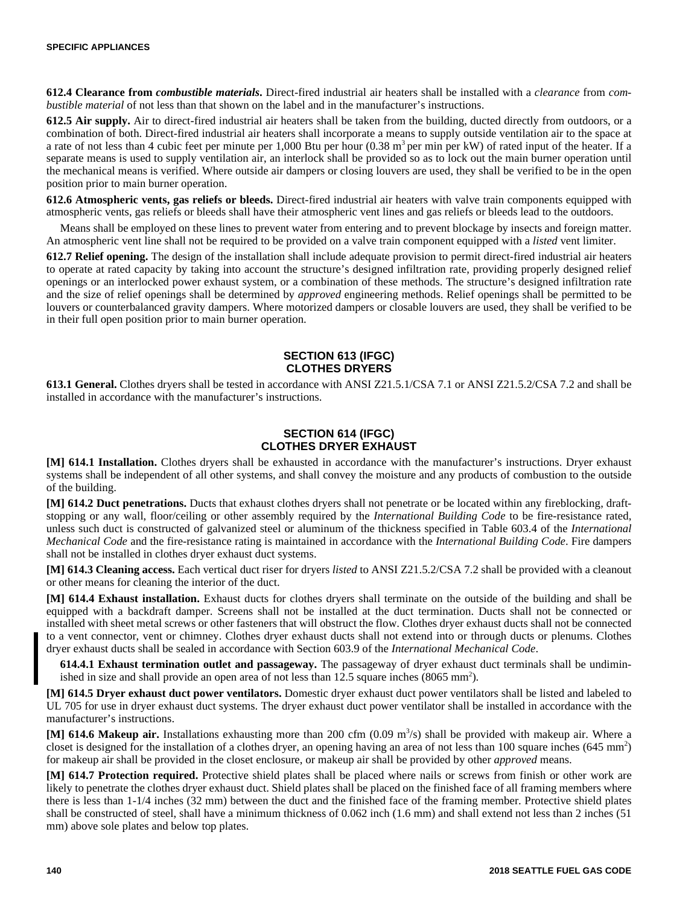**612.4 Clearance from** *combustible materials***.** Direct-fired industrial air heaters shall be installed with a *clearance* from *combustible material* of not less than that shown on the label and in the manufacturer's instructions.

**612.5 Air supply.** Air to direct-fired industrial air heaters shall be taken from the building, ducted directly from outdoors, or a combination of both. Direct-fired industrial air heaters shall incorporate a means to supply outside ventilation air to the space at a rate of not less than 4 cubic feet per minute per 1,000 Btu per hour  $(0.38 \text{ m}^3 \text{ per min per kW})$  of rated input of the heater. If a separate means is used to supply ventilation air, an interlock shall be provided so as to lock out the main burner operation until the mechanical means is verified. Where outside air dampers or closing louvers are used, they shall be verified to be in the open position prior to main burner operation.

**612.6 Atmospheric vents, gas reliefs or bleeds.** Direct-fired industrial air heaters with valve train components equipped with atmospheric vents, gas reliefs or bleeds shall have their atmospheric vent lines and gas reliefs or bleeds lead to the outdoors.

Means shall be employed on these lines to prevent water from entering and to prevent blockage by insects and foreign matter. An atmospheric vent line shall not be required to be provided on a valve train component equipped with a *listed* vent limiter.

**612.7 Relief opening.** The design of the installation shall include adequate provision to permit direct-fired industrial air heaters to operate at rated capacity by taking into account the structure's designed infiltration rate, providing properly designed relief openings or an interlocked power exhaust system, or a combination of these methods. The structure's designed infiltration rate and the size of relief openings shall be determined by *approved* engineering methods. Relief openings shall be permitted to be louvers or counterbalanced gravity dampers. Where motorized dampers or closable louvers are used, they shall be verified to be in their full open position prior to main burner operation.

## **SECTION 613 (IFGC) CLOTHES DRYERS**

**613.1 General.** Clothes dryers shall be tested in accordance with ANSI Z21.5.1/CSA 7.1 or ANSI Z21.5.2/CSA 7.2 and shall be installed in accordance with the manufacturer's instructions.

## **SECTION 614 (IFGC) CLOTHES DRYER EXHAUST**

**[M] 614.1 Installation.** Clothes dryers shall be exhausted in accordance with the manufacturer's instructions. Dryer exhaust systems shall be independent of all other systems, and shall convey the moisture and any products of combustion to the outside of the building.

**[M] 614.2 Duct penetrations.** Ducts that exhaust clothes dryers shall not penetrate or be located within any fireblocking, draftstopping or any wall, floor/ceiling or other assembly required by the *International Building Code* to be fire-resistance rated, unless such duct is constructed of galvanized steel or aluminum of the thickness specified in Table 603.4 of the *International Mechanical Code* and the fire-resistance rating is maintained in accordance with the *International Building Code*. Fire dampers shall not be installed in clothes dryer exhaust duct systems.

**[M] 614.3 Cleaning access.** Each vertical duct riser for dryers *listed* to ANSI Z21.5.2/CSA 7.2 shall be provided with a cleanout or other means for cleaning the interior of the duct.

**[M] 614.4 Exhaust installation.** Exhaust ducts for clothes dryers shall terminate on the outside of the building and shall be equipped with a backdraft damper. Screens shall not be installed at the duct termination. Ducts shall not be connected or installed with sheet metal screws or other fasteners that will obstruct the flow. Clothes dryer exhaust ducts shall not be connected to a vent connector, vent or chimney. Clothes dryer exhaust ducts shall not extend into or through ducts or plenums. Clothes dryer exhaust ducts shall be sealed in accordance with Section 603.9 of the *International Mechanical Code*.

**614.4.1 Exhaust termination outlet and passageway.** The passageway of dryer exhaust duct terminals shall be undiminished in size and shall provide an open area of not less than  $12.5$  square inches (8065 mm<sup>2</sup>).

**[M] 614.5 Dryer exhaust duct power ventilators.** Domestic dryer exhaust duct power ventilators shall be listed and labeled to UL 705 for use in dryer exhaust duct systems. The dryer exhaust duct power ventilator shall be installed in accordance with the manufacturer's instructions.

[M] 614.6 Makeup air. Installations exhausting more than 200 cfm (0.09 m<sup>3</sup>/s) shall be provided with makeup air. Where a closet is designed for the installation of a clothes dryer, an opening having an area of not less than 100 square inches  $(645 \text{ mm}^2)$ for makeup air shall be provided in the closet enclosure, or makeup air shall be provided by other *approved* means.

**[M] 614.7 Protection required.** Protective shield plates shall be placed where nails or screws from finish or other work are likely to penetrate the clothes dryer exhaust duct. Shield plates shall be placed on the finished face of all framing members where there is less than 1-1/4 inches (32 mm) between the duct and the finished face of the framing member. Protective shield plates shall be constructed of steel, shall have a minimum thickness of 0.062 inch (1.6 mm) and shall extend not less than 2 inches (51 mm) above sole plates and below top plates.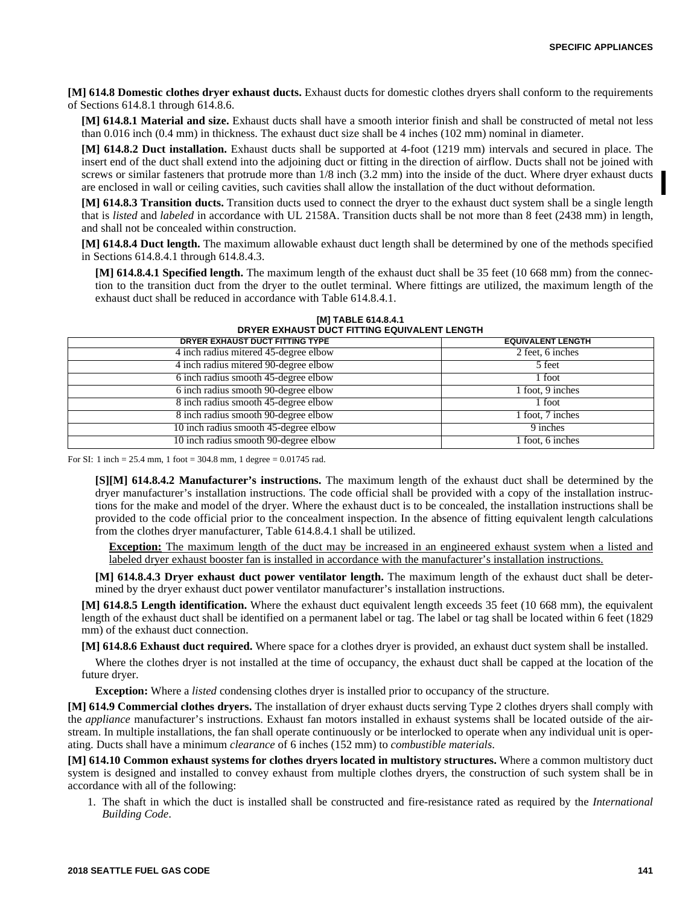**[M] 614.8 Domestic clothes dryer exhaust ducts.** Exhaust ducts for domestic clothes dryers shall conform to the requirements of Sections 614.8.1 through 614.8.6.

**[M] 614.8.1 Material and size.** Exhaust ducts shall have a smooth interior finish and shall be constructed of metal not less than 0.016 inch (0.4 mm) in thickness. The exhaust duct size shall be 4 inches (102 mm) nominal in diameter.

**[M] 614.8.2 Duct installation.** Exhaust ducts shall be supported at 4-foot (1219 mm) intervals and secured in place. The insert end of the duct shall extend into the adjoining duct or fitting in the direction of airflow. Ducts shall not be joined with screws or similar fasteners that protrude more than 1/8 inch (3.2 mm) into the inside of the duct. Where dryer exhaust ducts are enclosed in wall or ceiling cavities, such cavities shall allow the installation of the duct without deformation.

**[M] 614.8.3 Transition ducts.** Transition ducts used to connect the dryer to the exhaust duct system shall be a single length that is *listed* and *labeled* in accordance with UL 2158A. Transition ducts shall be not more than 8 feet (2438 mm) in length, and shall not be concealed within construction.

**[M] 614.8.4 Duct length.** The maximum allowable exhaust duct length shall be determined by one of the methods specified in Sections 614.8.4.1 through 614.8.4.3.

**[M] 614.8.4.1 Specified length.** The maximum length of the exhaust duct shall be 35 feet (10 668 mm) from the connection to the transition duct from the dryer to the outlet terminal. Where fittings are utilized, the maximum length of the exhaust duct shall be reduced in accordance with Table 614.8.4.1.

| DRYER EXHAUST DUCT FITTING EQUIVALENT LENGTH |  |  |  |  |  |  |  |
|----------------------------------------------|--|--|--|--|--|--|--|
| <b>EQUIVALENT LENGTH</b>                     |  |  |  |  |  |  |  |
| 2 feet, 6 inches                             |  |  |  |  |  |  |  |
| 5 feet                                       |  |  |  |  |  |  |  |
| 1 foot                                       |  |  |  |  |  |  |  |
| 1 foot, 9 inches                             |  |  |  |  |  |  |  |
| 1 foot                                       |  |  |  |  |  |  |  |
| 1 foot, 7 inches                             |  |  |  |  |  |  |  |
| 9 inches                                     |  |  |  |  |  |  |  |
| 1 foot, 6 inches                             |  |  |  |  |  |  |  |
|                                              |  |  |  |  |  |  |  |

**[M] TABLE 614.8.4.1 DRYER EXHAUST DUCT FITTING EQUIVALENT LENGTH**

For SI: 1 inch = 25.4 mm, 1 foot = 304.8 mm, 1 degree = 0.01745 rad.

**[S][M] 614.8.4.2 Manufacturer's instructions.** The maximum length of the exhaust duct shall be determined by the dryer manufacturer's installation instructions. The code official shall be provided with a copy of the installation instructions for the make and model of the dryer. Where the exhaust duct is to be concealed, the installation instructions shall be provided to the code official prior to the concealment inspection. In the absence of fitting equivalent length calculations from the clothes dryer manufacturer, Table 614.8.4.1 shall be utilized.

**Exception:** The maximum length of the duct may be increased in an engineered exhaust system when a listed and labeled dryer exhaust booster fan is installed in accordance with the manufacturer's installation instructions.

**[M] 614.8.4.3 Dryer exhaust duct power ventilator length.** The maximum length of the exhaust duct shall be determined by the dryer exhaust duct power ventilator manufacturer's installation instructions.

**[M] 614.8.5 Length identification.** Where the exhaust duct equivalent length exceeds 35 feet (10 668 mm), the equivalent length of the exhaust duct shall be identified on a permanent label or tag. The label or tag shall be located within 6 feet (1829 mm) of the exhaust duct connection.

**[M] 614.8.6 Exhaust duct required.** Where space for a clothes dryer is provided, an exhaust duct system shall be installed.

Where the clothes dryer is not installed at the time of occupancy, the exhaust duct shall be capped at the location of the future dryer.

**Exception:** Where a *listed* condensing clothes dryer is installed prior to occupancy of the structure.

**[M] 614.9 Commercial clothes dryers.** The installation of dryer exhaust ducts serving Type 2 clothes dryers shall comply with the *appliance* manufacturer's instructions. Exhaust fan motors installed in exhaust systems shall be located outside of the airstream. In multiple installations, the fan shall operate continuously or be interlocked to operate when any individual unit is operating. Ducts shall have a minimum *clearance* of 6 inches (152 mm) to *combustible materials*.

**[M] 614.10 Common exhaust systems for clothes dryers located in multistory structures.** Where a common multistory duct system is designed and installed to convey exhaust from multiple clothes dryers, the construction of such system shall be in accordance with all of the following:

1. The shaft in which the duct is installed shall be constructed and fire-resistance rated as required by the *International Building Code*.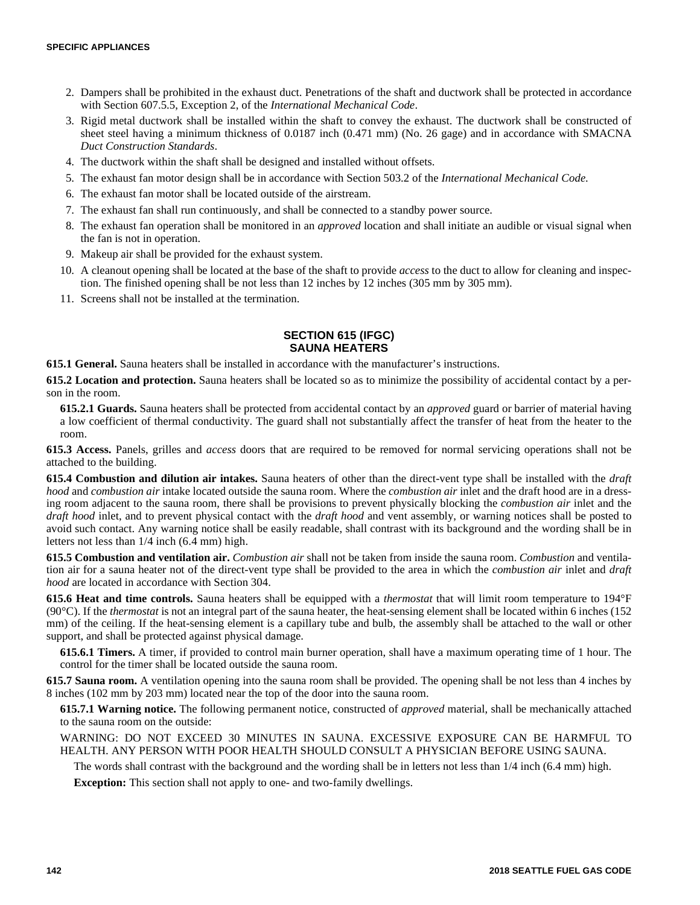- 2. Dampers shall be prohibited in the exhaust duct. Penetrations of the shaft and ductwork shall be protected in accordance with Section 607.5.5, Exception 2, of the *International Mechanical Code*.
- 3. Rigid metal ductwork shall be installed within the shaft to convey the exhaust. The ductwork shall be constructed of sheet steel having a minimum thickness of 0.0187 inch (0.471 mm) (No. 26 gage) and in accordance with SMACNA *Duct Construction Standards*.
- 4. The ductwork within the shaft shall be designed and installed without offsets.
- 5. The exhaust fan motor design shall be in accordance with Section 503.2 of the *International Mechanical Code*.
- 6. The exhaust fan motor shall be located outside of the airstream.
- 7. The exhaust fan shall run continuously, and shall be connected to a standby power source.
- 8. The exhaust fan operation shall be monitored in an *approved* location and shall initiate an audible or visual signal when the fan is not in operation.
- 9. Makeup air shall be provided for the exhaust system.
- 10. A cleanout opening shall be located at the base of the shaft to provide *access* to the duct to allow for cleaning and inspection. The finished opening shall be not less than 12 inches by 12 inches (305 mm by 305 mm).
- 11. Screens shall not be installed at the termination.

### **SECTION 615 (IFGC) SAUNA HEATERS**

**615.1 General.** Sauna heaters shall be installed in accordance with the manufacturer's instructions.

**615.2 Location and protection.** Sauna heaters shall be located so as to minimize the possibility of accidental contact by a person in the room.

**615.2.1 Guards.** Sauna heaters shall be protected from accidental contact by an *approved* guard or barrier of material having a low coefficient of thermal conductivity. The guard shall not substantially affect the transfer of heat from the heater to the room.

**615.3 Access.** Panels, grilles and *access* doors that are required to be removed for normal servicing operations shall not be attached to the building.

**615.4 Combustion and dilution air intakes.** Sauna heaters of other than the direct-vent type shall be installed with the *draft hood* and *combustion air* intake located outside the sauna room. Where the *combustion air* inlet and the draft hood are in a dressing room adjacent to the sauna room, there shall be provisions to prevent physically blocking the *combustion air* inlet and the *draft hood* inlet, and to prevent physical contact with the *draft hood* and vent assembly, or warning notices shall be posted to avoid such contact. Any warning notice shall be easily readable, shall contrast with its background and the wording shall be in letters not less than 1/4 inch (6.4 mm) high.

**615.5 Combustion and ventilation air.** *Combustion air* shall not be taken from inside the sauna room. *Combustion* and ventilation air for a sauna heater not of the direct-vent type shall be provided to the area in which the *combustion air* inlet and *draft hood* are located in accordance with Section 304.

**615.6 Heat and time controls.** Sauna heaters shall be equipped with a *thermostat* that will limit room temperature to 194°F (90°C). If the *thermostat* is not an integral part of the sauna heater, the heat-sensing element shall be located within 6 inches (152 mm) of the ceiling. If the heat-sensing element is a capillary tube and bulb, the assembly shall be attached to the wall or other support, and shall be protected against physical damage.

**615.6.1 Timers.** A timer, if provided to control main burner operation, shall have a maximum operating time of 1 hour. The control for the timer shall be located outside the sauna room.

**615.7 Sauna room.** A ventilation opening into the sauna room shall be provided. The opening shall be not less than 4 inches by 8 inches (102 mm by 203 mm) located near the top of the door into the sauna room.

**615.7.1 Warning notice.** The following permanent notice, constructed of *approved* material, shall be mechanically attached to the sauna room on the outside:

WARNING: DO NOT EXCEED 30 MINUTES IN SAUNA. EXCESSIVE EXPOSURE CAN BE HARMFUL TO HEALTH. ANY PERSON WITH POOR HEALTH SHOULD CONSULT A PHYSICIAN BEFORE USING SAUNA.

The words shall contrast with the background and the wording shall be in letters not less than 1/4 inch (6.4 mm) high.

**Exception:** This section shall not apply to one- and two-family dwellings.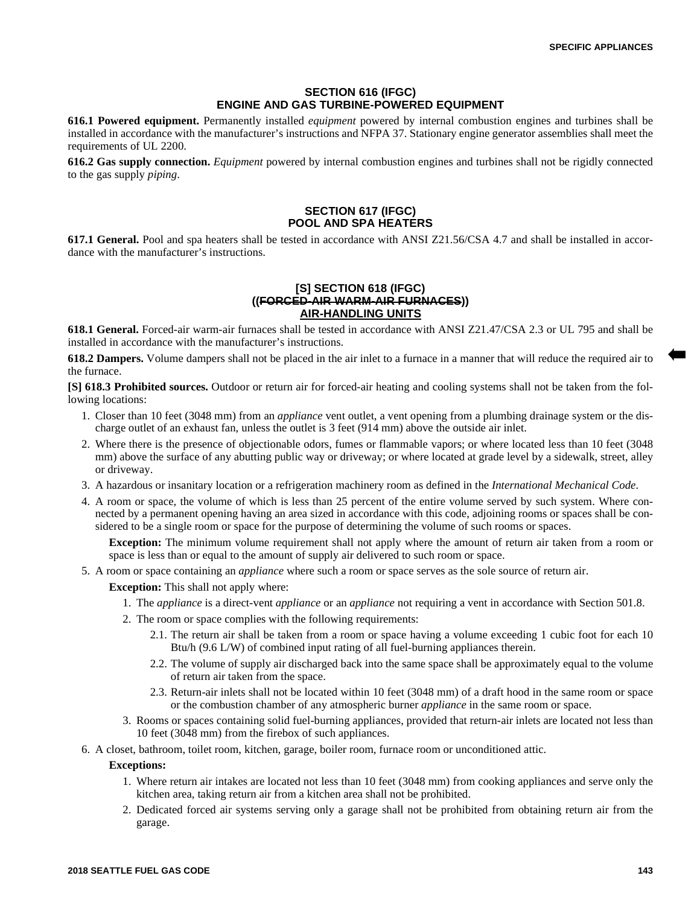### **SECTION 616 (IFGC) ENGINE AND GAS TURBINE-POWERED EQUIPMENT**

**616.1 Powered equipment.** Permanently installed *equipment* powered by internal combustion engines and turbines shall be installed in accordance with the manufacturer's instructions and NFPA 37. Stationary engine generator assemblies shall meet the requirements of UL 2200.

**616.2 Gas supply connection.** *Equipment* powered by internal combustion engines and turbines shall not be rigidly connected to the gas supply *piping*.

### **SECTION 617 (IFGC) POOL AND SPA HEATERS**

**617.1 General.** Pool and spa heaters shall be tested in accordance with ANSI Z21.56/CSA 4.7 and shall be installed in accordance with the manufacturer's instructions.

### **[S] SECTION 618 (IFGC) ((FORCED-AIR WARM-AIR FURNACES)) AIR-HANDLING UNITS**

**618.1 General.** Forced-air warm-air furnaces shall be tested in accordance with ANSI Z21.47/CSA 2.3 or UL 795 and shall be installed in accordance with the manufacturer's instructions.

**618.2 Dampers.** Volume dampers shall not be placed in the air inlet to a furnace in a manner that will reduce the required air to the furnace.

**[S] 618.3 Prohibited sources.** Outdoor or return air for forced-air heating and cooling systems shall not be taken from the following locations:

- 1. Closer than 10 feet (3048 mm) from an *appliance* vent outlet, a vent opening from a plumbing drainage system or the discharge outlet of an exhaust fan, unless the outlet is 3 feet (914 mm) above the outside air inlet.
- 2. Where there is the presence of objectionable odors, fumes or flammable vapors; or where located less than 10 feet (3048 mm) above the surface of any abutting public way or driveway; or where located at grade level by a sidewalk, street, alley or driveway.
- 3. A hazardous or insanitary location or a refrigeration machinery room as defined in the *International Mechanical Code*.
- 4. A room or space, the volume of which is less than 25 percent of the entire volume served by such system. Where connected by a permanent opening having an area sized in accordance with this code, adjoining rooms or spaces shall be considered to be a single room or space for the purpose of determining the volume of such rooms or spaces.

**Exception:** The minimum volume requirement shall not apply where the amount of return air taken from a room or space is less than or equal to the amount of supply air delivered to such room or space.

5. A room or space containing an *appliance* where such a room or space serves as the sole source of return air.

**Exception:** This shall not apply where:

- 1. The *appliance* is a direct-vent *appliance* or an *appliance* not requiring a vent in accordance with Section 501.8.
- 2. The room or space complies with the following requirements:
	- 2.1. The return air shall be taken from a room or space having a volume exceeding 1 cubic foot for each 10 Btu/h (9.6 L/W) of combined input rating of all fuel-burning appliances therein.
	- 2.2. The volume of supply air discharged back into the same space shall be approximately equal to the volume of return air taken from the space.
	- 2.3. Return-air inlets shall not be located within 10 feet (3048 mm) of a draft hood in the same room or space or the combustion chamber of any atmospheric burner *appliance* in the same room or space.
- 3. Rooms or spaces containing solid fuel-burning appliances, provided that return-air inlets are located not less than 10 feet (3048 mm) from the firebox of such appliances.
- 6. A closet, bathroom, toilet room, kitchen, garage, boiler room, furnace room or unconditioned attic.

#### **Exceptions:**

- 1. Where return air intakes are located not less than 10 feet (3048 mm) from cooking appliances and serve only the kitchen area, taking return air from a kitchen area shall not be prohibited.
- 2. Dedicated forced air systems serving only a garage shall not be prohibited from obtaining return air from the garage.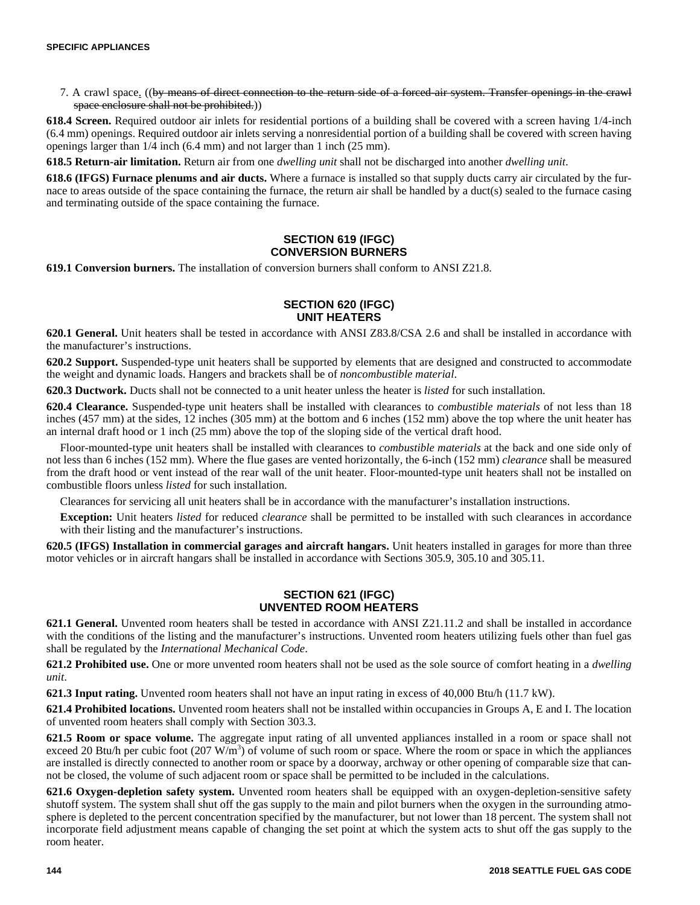7. A crawl space. ((by means of direct connection to the return side of a forced-air system. Transfer openings in the crawl space enclosure shall not be prohibited.))

**618.4 Screen.** Required outdoor air inlets for residential portions of a building shall be covered with a screen having 1/4-inch (6.4 mm) openings. Required outdoor air inlets serving a nonresidential portion of a building shall be covered with screen having openings larger than 1/4 inch (6.4 mm) and not larger than 1 inch (25 mm).

**618.5 Return-air limitation.** Return air from one *dwelling unit* shall not be discharged into another *dwelling unit*.

**618.6 (IFGS) Furnace plenums and air ducts.** Where a furnace is installed so that supply ducts carry air circulated by the furnace to areas outside of the space containing the furnace, the return air shall be handled by a duct(s) sealed to the furnace casing and terminating outside of the space containing the furnace.

## **SECTION 619 (IFGC) CONVERSION BURNERS**

**619.1 Conversion burners.** The installation of conversion burners shall conform to ANSI Z21.8.

## **SECTION 620 (IFGC) UNIT HEATERS**

**620.1 General.** Unit heaters shall be tested in accordance with ANSI Z83.8/CSA 2.6 and shall be installed in accordance with the manufacturer's instructions.

**620.2 Support.** Suspended-type unit heaters shall be supported by elements that are designed and constructed to accommodate the weight and dynamic loads. Hangers and brackets shall be of *noncombustible material*.

**620.3 Ductwork.** Ducts shall not be connected to a unit heater unless the heater is *listed* for such installation.

**620.4 Clearance.** Suspended-type unit heaters shall be installed with clearances to *combustible materials* of not less than 18 inches (457 mm) at the sides, 12 inches (305 mm) at the bottom and 6 inches (152 mm) above the top where the unit heater has an internal draft hood or 1 inch (25 mm) above the top of the sloping side of the vertical draft hood.

Floor-mounted-type unit heaters shall be installed with clearances to *combustible materials* at the back and one side only of not less than 6 inches (152 mm). Where the flue gases are vented horizontally, the 6-inch (152 mm) *clearance* shall be measured from the draft hood or vent instead of the rear wall of the unit heater. Floor-mounted-type unit heaters shall not be installed on combustible floors unless *listed* for such installation.

Clearances for servicing all unit heaters shall be in accordance with the manufacturer's installation instructions.

**Exception:** Unit heaters *listed* for reduced *clearance* shall be permitted to be installed with such clearances in accordance with their listing and the manufacturer's instructions.

**620.5 (IFGS) Installation in commercial garages and aircraft hangars.** Unit heaters installed in garages for more than three motor vehicles or in aircraft hangars shall be installed in accordance with Sections 305.9, 305.10 and 305.11.

## **SECTION 621 (IFGC) UNVENTED ROOM HEATERS**

**621.1 General.** Unvented room heaters shall be tested in accordance with ANSI Z21.11.2 and shall be installed in accordance with the conditions of the listing and the manufacturer's instructions. Unvented room heaters utilizing fuels other than fuel gas shall be regulated by the *International Mechanical Code*.

**621.2 Prohibited use.** One or more unvented room heaters shall not be used as the sole source of comfort heating in a *dwelling unit*.

**621.3 Input rating.** Unvented room heaters shall not have an input rating in excess of 40,000 Btu/h (11.7 kW).

**621.4 Prohibited locations.** Unvented room heaters shall not be installed within occupancies in Groups A, E and I. The location of unvented room heaters shall comply with Section 303.3.

**621.5 Room or space volume.** The aggregate input rating of all unvented appliances installed in a room or space shall not exceed 20 Btu/h per cubic foot  $(207 \text{ W/m}^3)$  of volume of such room or space. Where the room or space in which the appliances are installed is directly connected to another room or space by a doorway, archway or other opening of comparable size that cannot be closed, the volume of such adjacent room or space shall be permitted to be included in the calculations.

**621.6 Oxygen-depletion safety system.** Unvented room heaters shall be equipped with an oxygen-depletion-sensitive safety shutoff system. The system shall shut off the gas supply to the main and pilot burners when the oxygen in the surrounding atmosphere is depleted to the percent concentration specified by the manufacturer, but not lower than 18 percent. The system shall not incorporate field adjustment means capable of changing the set point at which the system acts to shut off the gas supply to the room heater.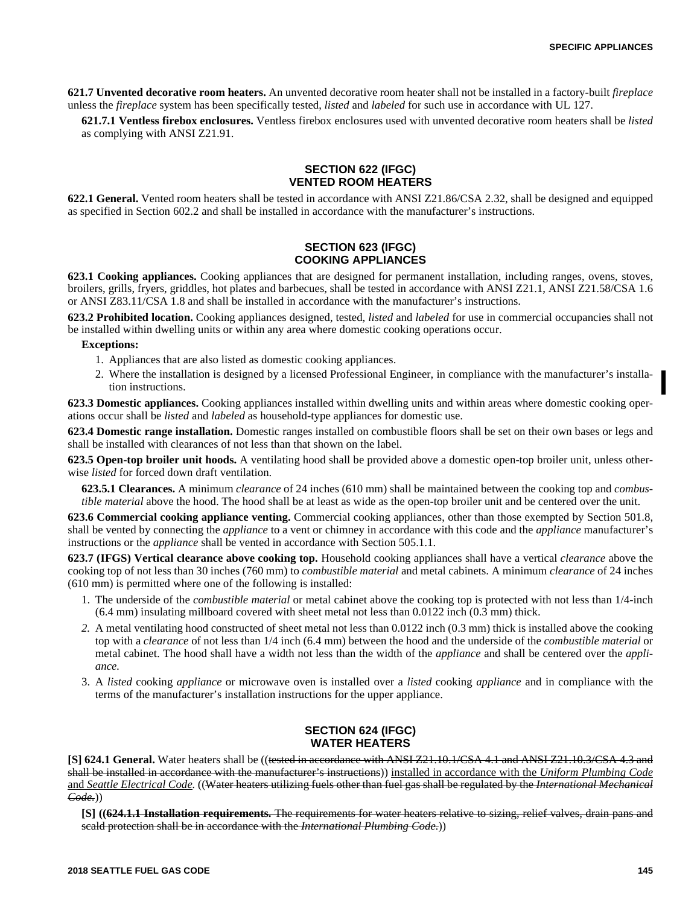**621.7 Unvented decorative room heaters.** An unvented decorative room heater shall not be installed in a factory-built *fireplace* unless the *fireplace* system has been specifically tested, *listed* and *labeled* for such use in accordance with UL 127.

**621.7.1 Ventless firebox enclosures.** Ventless firebox enclosures used with unvented decorative room heaters shall be *listed* as complying with ANSI Z21.91.

#### **SECTION 622 (IFGC) VENTED ROOM HEATERS**

**622.1 General.** Vented room heaters shall be tested in accordance with ANSI Z21.86/CSA 2.32, shall be designed and equipped as specified in Section 602.2 and shall be installed in accordance with the manufacturer's instructions.

#### **SECTION 623 (IFGC) COOKING APPLIANCES**

**623.1 Cooking appliances.** Cooking appliances that are designed for permanent installation, including ranges, ovens, stoves, broilers, grills, fryers, griddles, hot plates and barbecues, shall be tested in accordance with ANSI Z21.1, ANSI Z21.58/CSA 1.6 or ANSI Z83.11/CSA 1.8 and shall be installed in accordance with the manufacturer's instructions.

**623.2 Prohibited location.** Cooking appliances designed, tested, *listed* and *labeled* for use in commercial occupancies shall not be installed within dwelling units or within any area where domestic cooking operations occur.

#### **Exceptions:**

- 1. Appliances that are also listed as domestic cooking appliances.
- 2. Where the installation is designed by a licensed Professional Engineer, in compliance with the manufacturer's installation instructions.

**623.3 Domestic appliances.** Cooking appliances installed within dwelling units and within areas where domestic cooking operations occur shall be *listed* and *labeled* as household-type appliances for domestic use.

**623.4 Domestic range installation.** Domestic ranges installed on combustible floors shall be set on their own bases or legs and shall be installed with clearances of not less than that shown on the label.

**623.5 Open-top broiler unit hoods.** A ventilating hood shall be provided above a domestic open-top broiler unit, unless otherwise *listed* for forced down draft ventilation.

**623.5.1 Clearances.** A minimum *clearance* of 24 inches (610 mm) shall be maintained between the cooking top and *combustible material* above the hood. The hood shall be at least as wide as the open-top broiler unit and be centered over the unit.

**623.6 Commercial cooking appliance venting.** Commercial cooking appliances, other than those exempted by Section 501.8, shall be vented by connecting the *appliance* to a vent or chimney in accordance with this code and the *appliance* manufacturer's instructions or the *appliance* shall be vented in accordance with Section 505.1.1.

**623.7 (IFGS) Vertical clearance above cooking top.** Household cooking appliances shall have a vertical *clearance* above the cooking top of not less than 30 inches (760 mm) to *combustible material* and metal cabinets. A minimum *clearance* of 24 inches (610 mm) is permitted where one of the following is installed:

- 1. The underside of the *combustible material* or metal cabinet above the cooking top is protected with not less than 1/4-inch (6.4 mm) insulating millboard covered with sheet metal not less than 0.0122 inch (0.3 mm) thick.
- *2.* A metal ventilating hood constructed of sheet metal not less than 0.0122 inch (0.3 mm) thick is installed above the cooking top with a *clearance* of not less than 1/4 inch (6.4 mm) between the hood and the underside of the *combustible material* or metal cabinet. The hood shall have a width not less than the width of the *appliance* and shall be centered over the *appliance.*
- 3. A *listed* cooking *appliance* or microwave oven is installed over a *listed* cooking *appliance* and in compliance with the terms of the manufacturer's installation instructions for the upper appliance.

## **SECTION 624 (IFGC) WATER HEATERS**

**[S] 624.1 General.** Water heaters shall be ((tested in accordance with ANSI Z21.10.1/CSA 4.1 and ANSI Z21.10.3/CSA 4.3 and shall be installed in accordance with the manufacturer's instructions)) installed in accordance with the *Uniform Plumbing Code* and *Seattle Electrical Code.* ((Water heaters utilizing fuels other than fuel gas shall be regulated by the *International Mechanical Code.*))

**[S] ((624.1.1 Installation requirements.** The requirements for water heaters relative to sizing, relief valves, drain pans and scald protection shall be in accordance with the *International Plumbing Code.*))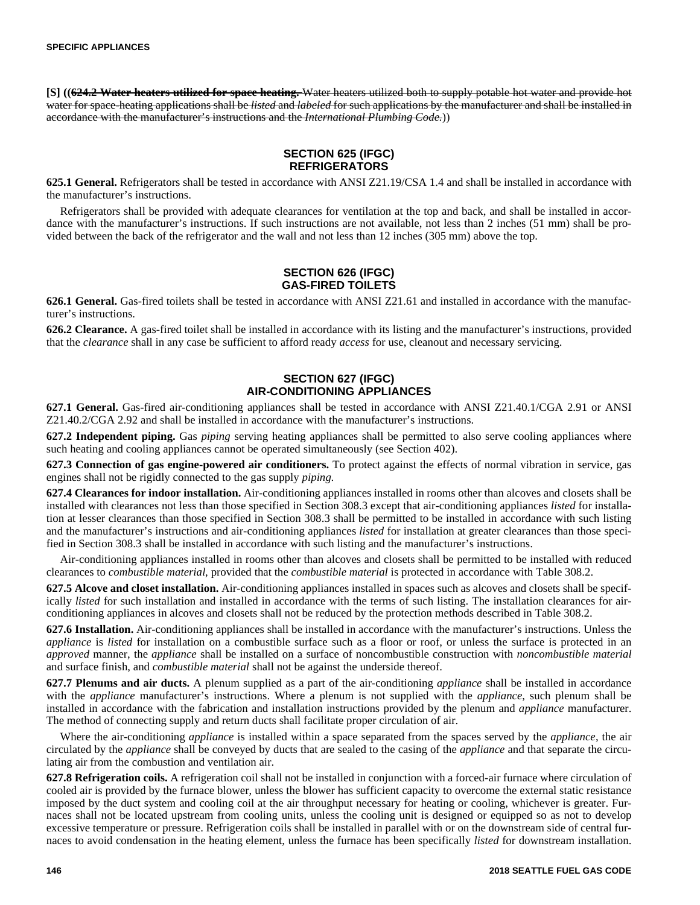**[S] ((624.2 Water heaters utilized for space heating.** Water heaters utilized both to supply potable hot water and provide hot water for space-heating applications shall be *listed* and *labeled* for such applications by the manufacturer and shall be installed in accordance with the manufacturer's instructions and the *International Plumbing Code.*))

## **SECTION 625 (IFGC) REFRIGERATORS**

**625.1 General.** Refrigerators shall be tested in accordance with ANSI Z21.19/CSA 1.4 and shall be installed in accordance with the manufacturer's instructions.

Refrigerators shall be provided with adequate clearances for ventilation at the top and back, and shall be installed in accordance with the manufacturer's instructions. If such instructions are not available, not less than 2 inches (51 mm) shall be provided between the back of the refrigerator and the wall and not less than 12 inches (305 mm) above the top.

#### **SECTION 626 (IFGC) GAS-FIRED TOILETS**

**626.1 General.** Gas-fired toilets shall be tested in accordance with ANSI Z21.61 and installed in accordance with the manufacturer's instructions.

**626.2 Clearance.** A gas-fired toilet shall be installed in accordance with its listing and the manufacturer's instructions, provided that the *clearance* shall in any case be sufficient to afford ready *access* for use, cleanout and necessary servicing.

## **SECTION 627 (IFGC) AIR-CONDITIONING APPLIANCES**

**627.1 General.** Gas-fired air-conditioning appliances shall be tested in accordance with ANSI Z21.40.1/CGA 2.91 or ANSI Z21.40.2/CGA 2.92 and shall be installed in accordance with the manufacturer's instructions.

**627.2 Independent piping.** Gas *piping* serving heating appliances shall be permitted to also serve cooling appliances where such heating and cooling appliances cannot be operated simultaneously (see Section 402).

**627.3 Connection of gas engine-powered air conditioners.** To protect against the effects of normal vibration in service, gas engines shall not be rigidly connected to the gas supply *piping.*

**627.4 Clearances for indoor installation.** Air-conditioning appliances installed in rooms other than alcoves and closets shall be installed with clearances not less than those specified in Section 308.3 except that air-conditioning appliances *listed* for installation at lesser clearances than those specified in Section 308.3 shall be permitted to be installed in accordance with such listing and the manufacturer's instructions and air-conditioning appliances *listed* for installation at greater clearances than those specified in Section 308.3 shall be installed in accordance with such listing and the manufacturer's instructions.

Air-conditioning appliances installed in rooms other than alcoves and closets shall be permitted to be installed with reduced clearances to *combustible material*, provided that the *combustible material* is protected in accordance with Table 308.2.

**627.5 Alcove and closet installation.** Air-conditioning appliances installed in spaces such as alcoves and closets shall be specifically *listed* for such installation and installed in accordance with the terms of such listing. The installation clearances for airconditioning appliances in alcoves and closets shall not be reduced by the protection methods described in Table 308.2.

**627.6 Installation.** Air-conditioning appliances shall be installed in accordance with the manufacturer's instructions. Unless the *appliance* is *listed* for installation on a combustible surface such as a floor or roof, or unless the surface is protected in an *approved* manner, the *appliance* shall be installed on a surface of noncombustible construction with *noncombustible material* and surface finish, and *combustible material* shall not be against the underside thereof.

**627.7 Plenums and air ducts.** A plenum supplied as a part of the air-conditioning *appliance* shall be installed in accordance with the *appliance* manufacturer's instructions. Where a plenum is not supplied with the *appliance*, such plenum shall be installed in accordance with the fabrication and installation instructions provided by the plenum and *appliance* manufacturer. The method of connecting supply and return ducts shall facilitate proper circulation of air.

Where the air-conditioning *appliance* is installed within a space separated from the spaces served by the *appliance*, the air circulated by the *appliance* shall be conveyed by ducts that are sealed to the casing of the *appliance* and that separate the circulating air from the combustion and ventilation air.

**627.8 Refrigeration coils.** A refrigeration coil shall not be installed in conjunction with a forced-air furnace where circulation of cooled air is provided by the furnace blower, unless the blower has sufficient capacity to overcome the external static resistance imposed by the duct system and cooling coil at the air throughput necessary for heating or cooling, whichever is greater. Furnaces shall not be located upstream from cooling units, unless the cooling unit is designed or equipped so as not to develop excessive temperature or pressure. Refrigeration coils shall be installed in parallel with or on the downstream side of central furnaces to avoid condensation in the heating element, unless the furnace has been specifically *listed* for downstream installation.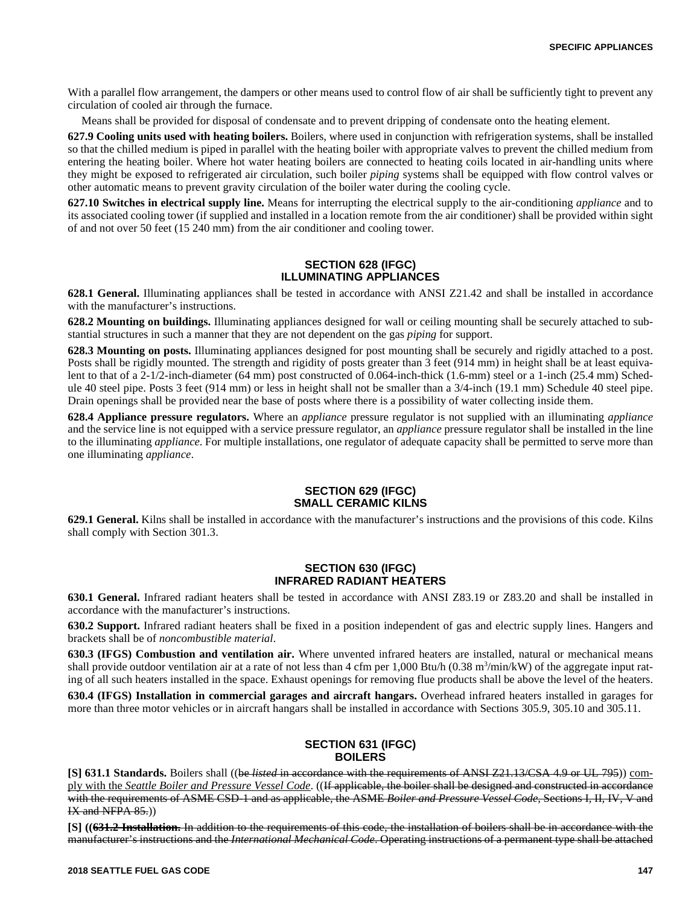With a parallel flow arrangement, the dampers or other means used to control flow of air shall be sufficiently tight to prevent any circulation of cooled air through the furnace.

Means shall be provided for disposal of condensate and to prevent dripping of condensate onto the heating element.

**627.9 Cooling units used with heating boilers.** Boilers, where used in conjunction with refrigeration systems, shall be installed so that the chilled medium is piped in parallel with the heating boiler with appropriate valves to prevent the chilled medium from entering the heating boiler. Where hot water heating boilers are connected to heating coils located in air-handling units where they might be exposed to refrigerated air circulation, such boiler *piping* systems shall be equipped with flow control valves or other automatic means to prevent gravity circulation of the boiler water during the cooling cycle.

**627.10 Switches in electrical supply line.** Means for interrupting the electrical supply to the air-conditioning *appliance* and to its associated cooling tower (if supplied and installed in a location remote from the air conditioner) shall be provided within sight of and not over 50 feet (15 240 mm) from the air conditioner and cooling tower.

## **SECTION 628 (IFGC) ILLUMINATING APPLIANCES**

**628.1 General.** Illuminating appliances shall be tested in accordance with ANSI Z21.42 and shall be installed in accordance with the manufacturer's instructions.

**628.2 Mounting on buildings.** Illuminating appliances designed for wall or ceiling mounting shall be securely attached to substantial structures in such a manner that they are not dependent on the gas *piping* for support.

**628.3 Mounting on posts.** Illuminating appliances designed for post mounting shall be securely and rigidly attached to a post. Posts shall be rigidly mounted. The strength and rigidity of posts greater than 3 feet (914 mm) in height shall be at least equivalent to that of a 2-1/2-inch-diameter (64 mm) post constructed of 0.064-inch-thick (1.6-mm) steel or a 1-inch (25.4 mm) Schedule 40 steel pipe. Posts 3 feet (914 mm) or less in height shall not be smaller than a 3/4-inch (19.1 mm) Schedule 40 steel pipe. Drain openings shall be provided near the base of posts where there is a possibility of water collecting inside them.

**628.4 Appliance pressure regulators.** Where an *appliance* pressure regulator is not supplied with an illuminating *appliance* and the service line is not equipped with a service pressure regulator, an *appliance* pressure regulator shall be installed in the line to the illuminating *appliance*. For multiple installations, one regulator of adequate capacity shall be permitted to serve more than one illuminating *appliance*.

## **SECTION 629 (IFGC) SMALL CERAMIC KILNS**

**629.1 General.** Kilns shall be installed in accordance with the manufacturer's instructions and the provisions of this code. Kilns shall comply with Section 301.3.

## **SECTION 630 (IFGC) INFRARED RADIANT HEATERS**

**630.1 General.** Infrared radiant heaters shall be tested in accordance with ANSI Z83.19 or Z83.20 and shall be installed in accordance with the manufacturer's instructions.

**630.2 Support.** Infrared radiant heaters shall be fixed in a position independent of gas and electric supply lines. Hangers and brackets shall be of *noncombustible material*.

**630.3 (IFGS) Combustion and ventilation air.** Where unvented infrared heaters are installed, natural or mechanical means shall provide outdoor ventilation air at a rate of not less than 4 cfm per 1,000 Btu/h (0.38 m<sup>3</sup>/min/kW) of the aggregate input rating of all such heaters installed in the space. Exhaust openings for removing flue products shall be above the level of the heaters.

**630.4 (IFGS) Installation in commercial garages and aircraft hangars.** Overhead infrared heaters installed in garages for more than three motor vehicles or in aircraft hangars shall be installed in accordance with Sections 305.9, 305.10 and 305.11.

## **SECTION 631 (IFGC) BOILERS**

**[S] 631.1 Standards.** Boilers shall ((be *listed* in accordance with the requirements of ANSI Z21.13/CSA 4.9 or UL 795)) comply with the *Seattle Boiler and Pressure Vessel Code*. ((If applicable, the boiler shall be designed and constructed in accordance with the requirements of ASME CSD-1 and as applicable, the ASME *Boiler and Pressure Vessel Code*, Sections I, II, IV, V and IX and NFPA 85.)

**[S] ((631.2 Installation.** In addition to the requirements of this code, the installation of boilers shall be in accordance with the manufacturer's instructions and the *International Mechanical Code*. Operating instructions of a permanent type shall be attached